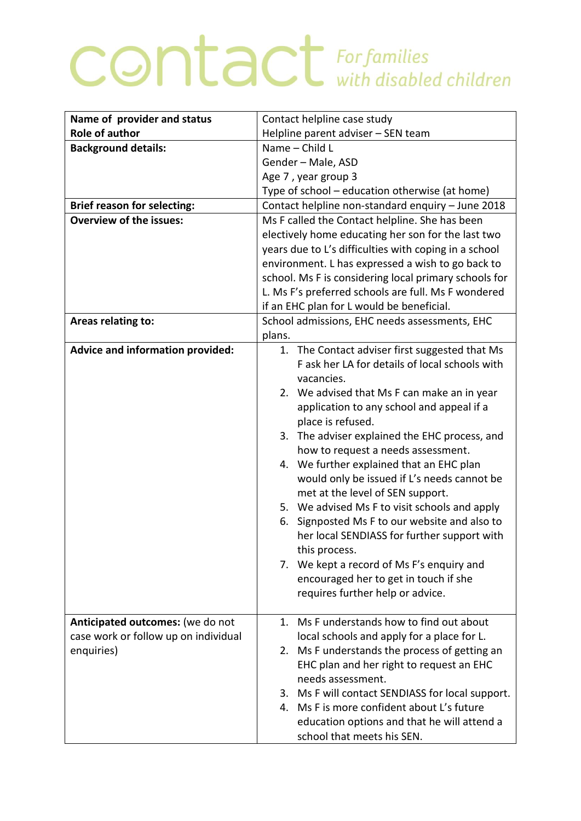## COntact For families

| Contact helpline case study                                                                      |
|--------------------------------------------------------------------------------------------------|
| Helpline parent adviser - SEN team                                                               |
| Name - Child L                                                                                   |
| Gender - Male, ASD                                                                               |
| Age 7, year group 3                                                                              |
| Type of school - education otherwise (at home)                                                   |
| Contact helpline non-standard enquiry - June 2018                                                |
| Ms F called the Contact helpline. She has been                                                   |
| electively home educating her son for the last two                                               |
| years due to L's difficulties with coping in a school                                            |
| environment. L has expressed a wish to go back to                                                |
| school. Ms F is considering local primary schools for                                            |
| L. Ms F's preferred schools are full. Ms F wondered                                              |
| if an EHC plan for L would be beneficial.                                                        |
| School admissions, EHC needs assessments, EHC                                                    |
| plans.                                                                                           |
| 1. The Contact adviser first suggested that Ms<br>F ask her LA for details of local schools with |
| vacancies.                                                                                       |
| 2. We advised that Ms F can make an in year                                                      |
| application to any school and appeal if a                                                        |
| place is refused.                                                                                |
| 3. The adviser explained the EHC process, and                                                    |
| how to request a needs assessment.                                                               |
| We further explained that an EHC plan<br>4.                                                      |
| would only be issued if L's needs cannot be                                                      |
| met at the level of SEN support.                                                                 |
| 5. We advised Ms F to visit schools and apply                                                    |
| Signposted Ms F to our website and also to<br>6.                                                 |
| her local SENDIASS for further support with                                                      |
| this process.                                                                                    |
| 7. We kept a record of Ms F's enquiry and                                                        |
| encouraged her to get in touch if she                                                            |
| requires further help or advice.                                                                 |
|                                                                                                  |
| 1. Ms F understands how to find out about                                                        |
| local schools and apply for a place for L.                                                       |
| 2. Ms F understands the process of getting an                                                    |
| EHC plan and her right to request an EHC                                                         |
| needs assessment.                                                                                |
| 3. Ms F will contact SENDIASS for local support.<br>4. Ms F is more confident about L's future   |
| education options and that he will attend a                                                      |
| school that meets his SEN.                                                                       |
|                                                                                                  |